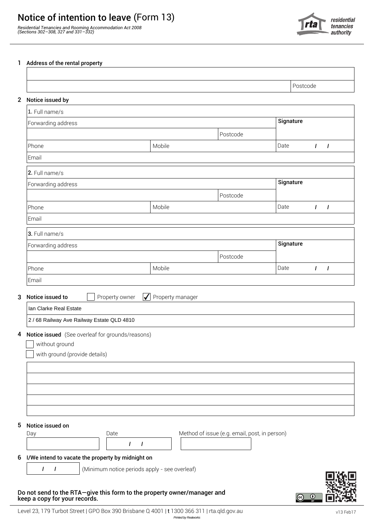## Notice of intention to leave (Form 13)

*Residential Tenancies and Rooming Accommodation Act 2008 (Sections 302–308, 327 and 331–332)*



## 1 Address of the rental property

| 2 Notice issued by                                                                                                         |        |                                               |           |                                |
|----------------------------------------------------------------------------------------------------------------------------|--------|-----------------------------------------------|-----------|--------------------------------|
|                                                                                                                            |        |                                               |           |                                |
| 1. Full name/s                                                                                                             |        |                                               |           |                                |
| Forwarding address                                                                                                         |        |                                               | Signature |                                |
|                                                                                                                            |        | Postcode                                      |           |                                |
| Phone                                                                                                                      | Mobile |                                               | Date      | $\mathbf{I}$<br>$\overline{I}$ |
|                                                                                                                            |        |                                               |           |                                |
| 2. Full name/s                                                                                                             |        |                                               |           |                                |
| Forwarding address                                                                                                         |        |                                               | Signature |                                |
|                                                                                                                            |        | Postcode                                      |           |                                |
| Phone                                                                                                                      | Mobile |                                               | Date      | $\mathbf{I}$<br>$\prime$       |
| Email                                                                                                                      |        |                                               |           |                                |
| 3. Full name/s                                                                                                             |        |                                               |           |                                |
| Forwarding address                                                                                                         |        |                                               | Signature |                                |
|                                                                                                                            |        | Postcode                                      |           |                                |
| Phone                                                                                                                      | Mobile |                                               | Date      | $\overline{1}$<br>$\mathbf{I}$ |
|                                                                                                                            |        |                                               |           |                                |
| Ian Clarke Real Estate<br>2 / 68 Railway Ave Railway Estate QLD 4810<br>4 Notice issued (See overleaf for grounds/reasons) |        |                                               |           |                                |
| without ground                                                                                                             |        |                                               |           |                                |
| with ground (provide details)                                                                                              |        |                                               |           |                                |
|                                                                                                                            |        |                                               |           |                                |
|                                                                                                                            |        |                                               |           |                                |
|                                                                                                                            |        |                                               |           |                                |
|                                                                                                                            |        |                                               |           |                                |
|                                                                                                                            |        |                                               |           |                                |
| Notice issued on<br>Date                                                                                                   |        | Method of issue (e.g. email, post, in person) |           |                                |
| $\prime$<br>1                                                                                                              |        |                                               |           |                                |
| I/We intend to vacate the property by midnight on                                                                          |        |                                               |           |                                |
|                                                                                                                            |        |                                               |           |                                |

keep a copy for your records.